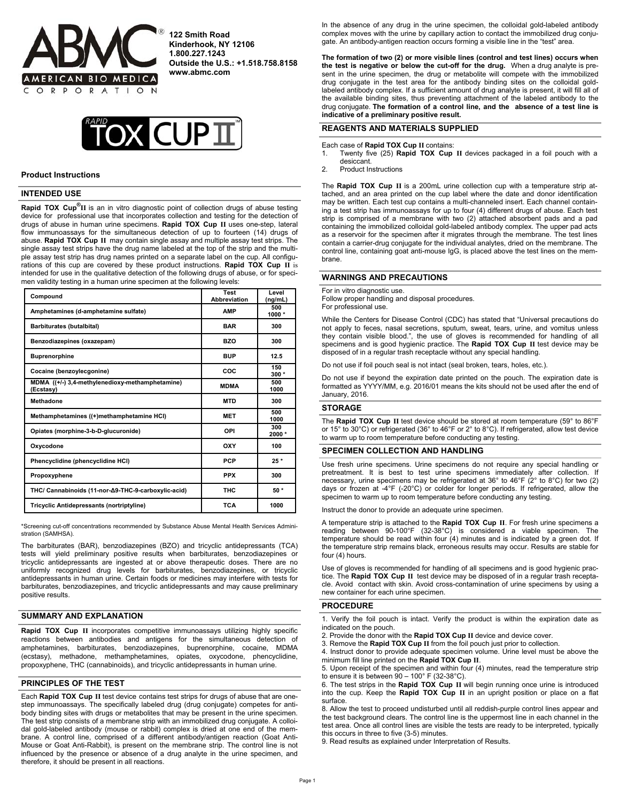

**122 Smith Road Kinderhook, NY 12106 1.800.227.1243 Outside the U.S.: +1.518.758.8158 www.abmc.com** 



#### **Product Instructions**

# **INTENDED USE**

**Rapid TOX Cup®II** is an in vitro diagnostic point of collection drugs of abuse testing device for professional use that incorporates collection and testing for the detection of drugs of abuse in human urine specimens. **Rapid TOX Cup II** uses one-step, lateral flow immunoassays for the simultaneous detection of up to fourteen (14) drugs of abuse. **Rapid TOX Cup II** may contain single assay and multiple assay test strips. The single assay test strips have the drug name labeled at the top of the strip and the multiple assay test strip has drug names printed on a separate label on the cup. All configurations of this cup are covered by these product instructions. **Rapid TOX Cup II** is intended for use in the qualitative detection of the following drugs of abuse, or for specimen validity testing in a human urine specimen at the following levels:

| Compound                                                     | <b>Test</b><br>Abbreviation | Level<br>(nq/mL) |
|--------------------------------------------------------------|-----------------------------|------------------|
| Amphetamines (d-amphetamine sulfate)                         | <b>AMP</b>                  | 500<br>1000*     |
| Barbiturates (butalbital)                                    | <b>BAR</b>                  | 300              |
| Benzodiazepines (oxazepam)                                   | <b>BZO</b>                  | 300              |
| <b>Buprenorphine</b>                                         | <b>BUP</b>                  | 12.5             |
| Cocaine (benzoylecgonine)                                    | coc                         | 150<br>$300*$    |
| MDMA ((+/-) 3.4-methylenedioxy-methamphetamine)<br>(Ecstasy) | <b>MDMA</b>                 | 500<br>1000      |
| Methadone                                                    | MTD                         | 300              |
| Methamphetamines ((+)methamphetamine HCI)                    | <b>MET</b>                  | 500<br>1000      |
| Opiates (morphine 3-b-D-glucuronide)                         | OPI                         | 300<br>2000*     |
| Oxycodone                                                    | OXY                         | 100              |
| Phencyclidine (phencyclidine HCI)                            | <b>PCP</b>                  | $25*$            |
| Propoxyphene                                                 | <b>PPX</b>                  | 300              |
| THC/ Cannabinoids (11-nor-A9-THC-9-carboxylic-acid)          | <b>THC</b>                  | 50 *             |
| <b>Tricyclic Antidepressants (nortriptyline)</b>             | <b>TCA</b>                  | 1000             |

\*Screening cut-off concentrations recommended by Substance Abuse Mental Health Services Administration (SAMHSA).

The barbiturates (BAR), benzodiazepines (BZO) and tricyclic antidepressants (TCA) tests will yield preliminary positive results when barbiturates, benzodiazepines or tricyclic antidepressants are ingested at or above therapeutic doses. There are no uniformly recognized drug levels for barbiturates, benzodiazepines, or tricyclic antidepressants in human urine. Certain foods or medicines may interfere with tests for barbiturates, benzodiazepines, and tricyclic antidepressants and may cause preliminary positive results.

#### ֦ **SUMMARY AND EXPLANATION**

**Rapid TOX Cup II** incorporates competitive immunoassays utilizing highly specific reactions between antibodies and antigens for the simultaneous detection of amphetamines, barbiturates, benzodiazepines, buprenorphine, cocaine, MDMA (ecstasy), methadone, methamphetamines, opiates, oxycodone, phencyclidine, propoxyphene, THC (cannabinoids), and tricyclic antidepressants in human urine.

## **PRINCIPLES OF THE TEST**

Each **Rapid TOX Cup II** test device contains test strips for drugs of abuse that are onestep immunoassays. The specifically labeled drug (drug conjugate) competes for antibody binding sites with drugs or metabolites that may be present in the urine specimen. The test strip consists of a membrane strip with an immobilized drug conjugate. A colloidal gold-labeled antibody (mouse or rabbit) complex is dried at one end of the membrane. A control line, comprised of a different antibody/antigen reaction (Goat Anti-Mouse or Goat Anti-Rabbit), is present on the membrane strip. The control line is not influenced by the presence or absence of a drug analyte in the urine specimen, and therefore, it should be present in all reactions.

In the absence of any drug in the urine specimen, the colloidal gold-labeled antibody complex moves with the urine by capillary action to contact the immobilized drug conjugate. An antibody-antigen reaction occurs forming a visible line in the "test" area.

**The formation of two (2) or more visible lines (control and test lines) occurs when the test is negative or below the cut-off for the drug.** When a drug analyte is present in the urine specimen, the drug or metabolite will compete with the immobilized drug conjugate in the test area for the antibody binding sites on the colloidal goldlabeled antibody complex. If a sufficient amount of drug analyte is present, it will fill all of the available binding sites, thus preventing attachment of the labeled antibody to the drug conjugate. **The formation of a control line, and the absence of a test line is indicative of a preliminary positive result.** 

# **REAGENTS AND MATERIALS SUPPLIED**

Each case of **Rapid TOX Cup II** contains:

- 1. Twenty five (25) **Rapid TOX Cup II** devices packaged in a foil pouch with a desiccant.
- 2. Product Instructions

The **Rapid TOX Cup II** is a 200mL urine collection cup with a temperature strip attached, and an area printed on the cup label where the date and donor identification may be written. Each test cup contains a multi-channeled insert. Each channel containing a test strip has immunoassays for up to four (4) different drugs of abuse. Each test strip is comprised of a membrane with two (2) attached absorbent pads and a pad containing the immobilized colloidal gold-labeled antibody complex. The upper pad acts as a reservoir for the specimen after it migrates through the membrane. The test lines contain a carrier-drug conjugate for the individual analytes, dried on the membrane. The control line, containing goat anti-mouse IgG, is placed above the test lines on the membrane.

# **WARNINGS AND PRECAUTIONS**

For in vitro diagnostic use.

Follow proper handling and disposal procedures. For professional use.

While the Centers for Disease Control (CDC) has stated that "Universal precautions do not apply to feces, nasal secretions, sputum, sweat, tears, urine, and vomitus unless they contain visible blood.", the use of gloves is recommended for handling of all specimens and is good hygienic practice. The **Rapid TOX Cup II** test device may be disposed of in a regular trash receptacle without any special handling.

Do not use if foil pouch seal is not intact (seal broken, tears, holes, etc.).

Do not use if beyond the expiration date printed on the pouch. The expiration date is formatted as YYYY/MM, e.g. 2016/01 means the kits should not be used after the end of January, 2016.

## **STORAGE**

The **Rapid TOX Cup II** test device should be stored at room temperature (59° to 86°F or 15° to 30°C) or refrigerated (36° to 46°F or 2° to 8°C). If refrigerated, allow test device to warm up to room temperature before conducting any testing.

# **SPECIMEN COLLECTION AND HANDLING**

Use fresh urine specimens. Urine specimens do not require any special handling or pretreatment. It is best to test urine specimens immediately after collection. If necessary, urine specimens may be refrigerated at 36° to 46°F (2° to 8°C) for two (2) days or frozen at -4°F (-20°C) or colder for longer periods. If refrigerated, allow the specimen to warm up to room temperature before conducting any testing.

Instruct the donor to provide an adequate urine specimen.

A temperature strip is attached to the **Rapid TOX Cup II**. For fresh urine specimens a reading between 90-100°F (32-38°C) is considered a viable specimen. The temperature should be read within four (4) minutes and is indicated by a green dot. If the temperature strip remains black, erroneous results may occur. Results are stable for four (4) hours.

Use of gloves is recommended for handling of all specimens and is good hygienic practice. The **Rapid TOX Cup II** test device may be disposed of in a regular trash receptacle. Avoid contact with skin. Avoid cross-contamination of urine specimens by using a new container for each urine specimen.

### **PROCEDURE**

1. Verify the foil pouch is intact. Verify the product is within the expiration date as indicated on the pouch.

3. Remove the **Rapid TOX Cup II** from the foil pouch just prior to collection.

4. Instruct donor to provide adequate specimen volume. Urine level must be above the minimum fill line printed on the **Rapid TOX Cup II**.

5. Upon receipt of the specimen and within four (4) minutes, read the temperature strip to ensure it is between  $90 - 100^{\circ}$  F (32-38 $^{\circ}$ C).

6. The test strips in the **Rapid TOX Cup II** will begin running once urine is introduced into the cup. Keep the **Rapid TOX Cup II** in an upright position or place on a flat surface.

8. Allow the test to proceed undisturbed until all reddish-purple control lines appear and the test background clears. The control line is the uppermost line in each channel in the test area. Once all control lines are visible the tests are ready to be interpreted, typically this occurs in three to five (3-5) minutes.

9. Read results as explained under Interpretation of Results.

<sup>2.</sup> Provide the donor with the **Rapid TOX Cup II** device and device cover.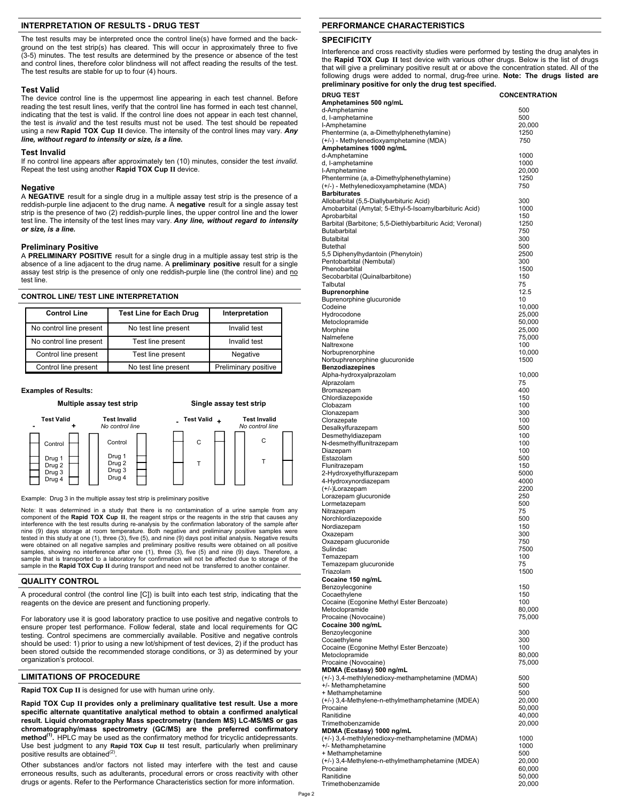# **INTERPRETATION OF RESULTS - DRUG TEST**

The test results may be interpreted once the control line(s) have formed and the background on the test strip(s) has cleared. This will occur in approximately three to five (3-5) minutes. The test results are determined by the presence or absence of the test and control lines, therefore color blindness will not affect reading the results of the test. The test results are stable for up to four (4) hours.

# **Test Valid**

The device control line is the uppermost line appearing in each test channel. Before reading the test result lines, verify that the control line has formed in each test channel, indicating that the test is valid. If the control line does not appear in each test channel, the test is *invalid* and the test results must not be used. The test should be repeated using a new **Rapid TOX Cup II** device. The intensity of the control lines may vary. *Any line, without regard to intensity or size, is a line***.** 

# **Test Invalid**

If no control line appears after approximately ten (10) minutes, consider the test *invalid.* Repeat the test using another **Rapid TOX Cup II** device.

# **Negative**

A **NEGATIVE** result for a single drug in a multiple assay test strip is the presence of a reddish-purple line adjacent to the drug name. A **negative** result for a single assay test strip is the presence of two (2) reddish-purple lines, the upper control line and the lower test line. The intensity of the test lines may vary. *Any line, without regard to intensity or size, is a line.* 

## **Preliminary Positive**

A **PRELIMINARY POSITIVE** result for a single drug in a multiple assay test strip is the absence of a line adjacent to the drug name. A **preliminary positive** result for a single assay test strip is the presence of only one reddish-purple line (the control line) and no test line.

# **CONTROL LINE/ TEST LINE INTERPRETATION**

| <b>Control Line</b>     | <b>Test Line for Each Drug</b> | Interpretation       |
|-------------------------|--------------------------------|----------------------|
| No control line present | No test line present           | Invalid test         |
| No control line present | Test line present              | Invalid test         |
| Control line present    | Test line present              | Negative             |
| Control line present    | No test line present           | Preliminary positive |

#### **Examples of Results:**



Example: Drug 3 in the multiple assay test strip is preliminary positive

Note: It was determined in a study that there is no contamination of a urine sample from any component of the **Rapid TOX Cup II**, the reagent strips or the reagents in the strip that causes any interference with the test results during re-analysis by the confirmation laboratory of the sample after nine (9) days storage at room temperature. Both negative and preliminary positive samples were tested in this study at one (1), three (3), five (5), and nine (9) days post initial analysis. Negative results were obtained on all negative samples and preliminary positive results were obtained on all positive samples, showing no interference after one (1), three (3), five (5) and nine (9) days. Therefore, a sample that is transported to a laboratory for confirmation will not be affected due to storage of the sample in the **Rapid TOX Cup II** during transport and need not be transferred to another container.

# **QUALITY CONTROL**

A procedural control (the control line [C]) is built into each test strip, indicating that the reagents on the device are present and functioning properly.

For laboratory use it is good laboratory practice to use positive and negative controls to ensure proper test performance. Follow federal, state and local requirements for QC testing. Control specimens are commercially available. Positive and negative controls should be used: 1) prior to using a new lot/shipment of test devices, 2) if the product has been stored outside the recommended storage conditions, or 3) as determined by your organization's protocol.

#### **LIMITATIONS OF PROCEDURE**

**Rapid TOX Cup II** is designed for use with human urine only.

**Rapid TOX Cup II provides only a preliminary qualitative test result. Use a more specific alternate quantitative analytical method to obtain a confirmed analytical result. Liquid chromatography Mass spectrometry (tandem MS) LC-MS/MS or gas chromatography/mass spectrometry (GC/MS) are the preferred confirmatory**  method<sup>(1)</sup>. HPLC may be used as the confirmatory method for tricyclic antidepressants. Use best judgment to any **Rapid TOX Cup II** test result, particularly when preliminary positive results are obtained<sup>(2</sup>)

Other substances and/or factors not listed may interfere with the test and cause erroneous results, such as adulterants, procedural errors or cross reactivity with other drugs or agents. Refer to the Performance Characteristics section for more information.

# **PERFORMANCE CHARACTERISTICS**

# **SPECIFICITY**

Interference and cross reactivity studies were performed by testing the drug analytes in the **Rapid TOX Cup II** test device with various other drugs. Below is the list of drugs that will give a preliminary positive result at or above the concentration stated. All of the following drugs were added to normal, drug-free urine. **Note: The drugs listed are preliminary positive for only the drug test specified. DRUG TEST CONCENTRATION** 

| Amphetamines 500 ng/mL                                    |        |
|-----------------------------------------------------------|--------|
| d-Amphetamine                                             | 500    |
| d, I-amphetamine                                          | 500    |
| I-Amphetamine                                             | 20,000 |
| Phentermine (a, a-Dimethylphenethylamine)                 | 1250   |
| (+/-) - Methylenedioxyamphetamine (MDA)                   | 750    |
| Amphetamines 1000 ng/mL                                   |        |
|                                                           | 1000   |
| d-Amphetamine                                             | 1000   |
| d, I-amphetamine                                          |        |
| I-Amphetamine                                             | 20,000 |
| Phentermine (a, a-Dimethylphenethylamine)                 | 1250   |
| (+/-) - Methylenedioxyamphetamine (MDA)                   | 750    |
| <b>Barbiturates</b>                                       |        |
| Allobarbital (5,5-Diallybarbituric Acid)                  | 300    |
| Amobarbital (Amytal; 5-Ethyl-5-Isoamylbarbituric Acid)    | 1000   |
| Aprobarbital                                              | 150    |
| Barbital (Barbitone; 5,5-Diethlybarbituric Acid; Veronal) | 1250   |
| Butabarbital                                              | 750    |
| <b>Butalbital</b>                                         | 300    |
| Butethal                                                  | 500    |
| 5,5 Diphenylhydantoin (Phenytoin)                         | 2500   |
| Pentobarbital (Nembutal)                                  | 300    |
| Phenobarbital                                             | 1500   |
| Secobarbital (Quinalbarbitone)                            | 150    |
| Talbutal                                                  | 75     |
| <b>Buprenorphine</b>                                      | 12.5   |
| Buprenorphine glucuronide                                 | 10     |
|                                                           |        |
| Codeine                                                   | 10,000 |
| Hydrocodone                                               | 25,000 |
| Metoclopramide                                            | 50,000 |
| Morphine                                                  | 25,000 |
| Nalmefene                                                 | 75,000 |
| Naltrexone                                                | 100    |
| Norbuprenorphine                                          | 10,000 |
| Norbuphrenorphine glucuronide                             | 1500   |
| <b>Benzodiazepines</b>                                    |        |
| Alpha-hydroxyalprazolam                                   | 10,000 |
| Alprazolam                                                | 75     |
| Bromazepam                                                | 400    |
| Chlordiazepoxide                                          | 150    |
| Clobazam                                                  | 100    |
| Clonazepam                                                | 300    |
| Clorazepate                                               | 100    |
| Desalkylfurazepam                                         | 500    |
| Desmethyldiazepam                                         | 100    |
| N-desmethylflunitrazepam                                  | 100    |
|                                                           | 100    |
| Diazepam<br>Estazolam                                     | 500    |
|                                                           |        |
| Flunitrazepam                                             | 150    |
| 2-Hydroxyethylflurazepam                                  | 5000   |
| 4-Hydroxynordiazepam                                      | 4000   |
| (+/-)Lorazepam                                            | 2200   |
| Lorazepam glucuronide                                     | 250    |
| Lormetazepam                                              | 500    |
| Nitrazepam                                                | 75     |
| Norchlordiazepoxide                                       | 500    |
| Nordiazepam                                               | 150    |
| Oxazepam                                                  | 300    |
| Oxazepam glucuronide                                      | 750    |
| Sulindac                                                  | 7500   |
| Temazepam                                                 | 100    |
| Temazepam glucuronide                                     | 75     |
| Triazolam                                                 | 1500   |
| Cocaine 150 ng/mL                                         |        |
| Benzoylecgonine                                           | 150    |
| Cocaethylene                                              | 150    |
| Cocaine (Ecgonine Methyl Ester Benzoate)                  | 100    |
| Metoclopramide                                            | 80,000 |
| Procaine (Novocaine)                                      | 75,000 |
| Cocaine 300 ng/mL                                         |        |
| Benzoylecgonine                                           | 300    |
| Cocaethylene                                              | 300    |
| Cocaine (Ecgonine Methyl Ester Benzoate)                  | 100    |
| Metoclopramide                                            |        |
|                                                           | 80,000 |
| Procaine (Novocaine)                                      | 75,000 |
| MDMA (Ecstasy) 500 ng/mL                                  |        |
| (+/-) 3,4-methlylenedioxy-methamphetamine (MDMA)          | 500    |
| +/- Methamphetamine                                       | 500    |
| + Methamphetamine                                         | 500    |
| (+/-) 3,4-Methylene-n-ethylmethamphetamine (MDEA)         | 20,000 |
| Procaine                                                  | 50,000 |
| Ranitidine                                                | 40,000 |
| Trimethobenzamide                                         | 20,000 |
| MDMA (Ecstasy) 1000 ng/mL                                 |        |
| (+/-) 3,4-methlylenedioxy-methamphetamine (MDMA)          | 1000   |
| +/- Methamphetamine                                       | 1000   |
| + Methamphetamine                                         | 500    |
| (+/-) 3,4-Methylene-n-ethylmethamphetamine (MDEA)         | 20,000 |
| Procaine                                                  | 60,000 |
| Ranitidine                                                | 50,000 |
| Trimethobenzamide                                         | 20,000 |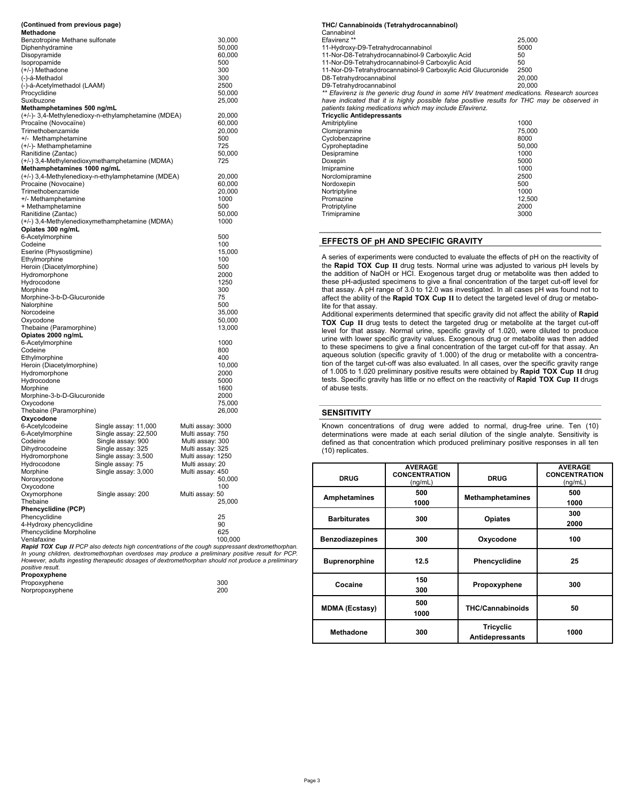| (Continued from previous page)              |                                                     |                   |                  |  |  |  |
|---------------------------------------------|-----------------------------------------------------|-------------------|------------------|--|--|--|
| Methadone<br>Benzotropine Methane sulfonate |                                                     |                   | 30,000           |  |  |  |
| Diphenhydramine                             |                                                     |                   | 50,000           |  |  |  |
| Disopyramide                                |                                                     |                   | 60,000           |  |  |  |
| Isopropamide                                |                                                     |                   | 500              |  |  |  |
| (+/-) Methadone                             |                                                     |                   | 300              |  |  |  |
| (-)-á-Methadol                              |                                                     |                   | 300              |  |  |  |
| (-)-á-Acetylmethadol (LAAM)                 | 2500                                                |                   |                  |  |  |  |
| Procyclidine                                | 50,000                                              |                   |                  |  |  |  |
| Suxibuzone<br>Methamphetamines 500 ng/mL    |                                                     |                   | 25,000           |  |  |  |
|                                             | (+/-)- 3,4-Methylenedioxy-n-ethylamphetamine (MDEA) |                   | 20,000           |  |  |  |
| Procaïne (Novocaïne)                        |                                                     |                   | 60,000           |  |  |  |
| Trimethobenzamide                           |                                                     |                   | 20,000           |  |  |  |
| +/- Methamphetamine                         |                                                     |                   | 500              |  |  |  |
| (+/-)- Methamphetamine                      |                                                     |                   | 725              |  |  |  |
| Ranitidine (Zantac)                         |                                                     |                   | 50,000           |  |  |  |
|                                             | (+/-) 3,4-Methylenedioxymethamphetamine (MDMA)      |                   | 725              |  |  |  |
| Methamphetamines 1000 ng/mL                 |                                                     |                   |                  |  |  |  |
| Procaine (Novocaine)                        | (+/-) 3,4-Methylenedioxy-n-ethylamphetamine (MDEA)  |                   | 20,000<br>60,000 |  |  |  |
| Trimethobenzamide                           |                                                     |                   | 20,000           |  |  |  |
| +/- Methamphetamine                         |                                                     |                   | 1000             |  |  |  |
| + Methamphetamine                           |                                                     |                   | 500              |  |  |  |
| Ranitidine (Zantac)                         |                                                     |                   | 50,000           |  |  |  |
|                                             | (+/-) 3,4-Methylenedioxymethamphetamine (MDMA)      |                   | 1000             |  |  |  |
| Opiates 300 ng/mL                           |                                                     |                   |                  |  |  |  |
| 6-Acetylmorphine                            |                                                     |                   | 500              |  |  |  |
| Codeine                                     |                                                     |                   | 100              |  |  |  |
| Eserine (Physostigmine)                     |                                                     |                   | 15,000<br>100    |  |  |  |
| Ethylmorphine<br>Heroin (Diacetylmorphine)  |                                                     |                   | 500              |  |  |  |
| Hydromorphone                               |                                                     |                   | 2000             |  |  |  |
| Hydrocodone                                 |                                                     |                   | 1250             |  |  |  |
| Morphine                                    |                                                     |                   | 300              |  |  |  |
| Morphine-3-b-D-Glucuronide                  | 75                                                  |                   |                  |  |  |  |
| Nalorphine                                  | 500                                                 |                   |                  |  |  |  |
| Norcodeine                                  | 35,000                                              |                   |                  |  |  |  |
| Oxycodone                                   |                                                     |                   | 50,000           |  |  |  |
| Thebaine (Paramorphine)                     |                                                     |                   | 13,000           |  |  |  |
| Opiates 2000 ng/mL<br>6-Acetylmorphine      |                                                     |                   | 1000             |  |  |  |
| Codeine                                     |                                                     |                   | 800              |  |  |  |
| Ethylmorphine                               |                                                     |                   | 400              |  |  |  |
| Heroin (Diacetylmorphine)                   |                                                     |                   | 10,000           |  |  |  |
| Hydromorphone                               |                                                     |                   | 2000             |  |  |  |
| Hydrocodone                                 |                                                     |                   | 5000             |  |  |  |
| Morphine                                    |                                                     |                   | 1600             |  |  |  |
| Morphine-3-b-D-Glucuronide                  |                                                     |                   | 2000             |  |  |  |
| Oxycodone                                   |                                                     |                   | 75,000           |  |  |  |
| Thebaine (Paramorphine)<br>Oxycodone        |                                                     |                   | 26,000           |  |  |  |
| 6-Acetylcodeine                             | Single assay: 11,000                                | Multi assay: 3000 |                  |  |  |  |
| 6-Acetylmorphine                            | Single assay: 22,500                                | Multi assay: 750  |                  |  |  |  |
| Codeine                                     | Single assay: 900                                   | Multi assay: 300  |                  |  |  |  |
| Dihydrocodeine                              | Single assay: 325                                   | Multi assay: 325  |                  |  |  |  |
| Hydromorphone                               | Single assay: 3,500                                 | Multi assay: 1250 |                  |  |  |  |
| Hydrocodone                                 | Single assay: 75                                    | Multi assay: 20   |                  |  |  |  |
| Morphine                                    | Single assay: 3,000                                 | Multi assay: 450  |                  |  |  |  |
| Noroxycodone                                |                                                     |                   | 50,000           |  |  |  |
| Oxycodone                                   | Single assay: 200                                   | Multi assay: 50   | 100              |  |  |  |
| Oxymorphone<br>Thebaine                     | 25,000                                              |                   |                  |  |  |  |
| Phencyclidine (PCP)                         |                                                     |                   |                  |  |  |  |
| Phencyclidine                               |                                                     |                   | 25               |  |  |  |
| 4-Hydroxy phencyclidine                     |                                                     |                   | 90               |  |  |  |
| Phencyclidine Morpholine                    | 625                                                 |                   |                  |  |  |  |
| Venlafaxine                                 |                                                     |                   | 100,000          |  |  |  |

Venlafaxine<br>**Rapid TOX Cup II** PCP also detects high concentrations of the cough suppressant dextromethorphan.<br>In young children, dextromethorphan overdoses may produce a preliminary positive result for PCP. *However, adults ingesting therapeutic dosages of dextromethorphan should not produce a preliminary positive result.* 

| Propoxyphene    |     |
|-----------------|-----|
| Propoxyphene    | 300 |
| Norpropoxyphene | 200 |

| THC/ Cannabinoids (Tetrahydrocannabinol)                                                    |        |
|---------------------------------------------------------------------------------------------|--------|
| Cannabinol                                                                                  |        |
| Efavirenz <sup>**</sup>                                                                     | 25,000 |
| 11-Hydroxy-D9-Tetrahydrocannabinol                                                          | 5000   |
| 11-Nor-D8-Tetrahydrocannabinol-9 Carboxylic Acid                                            | 50     |
| 11-Nor-D9-Tetrahydrocannabinol-9 Carboxylic Acid                                            | 50     |
| 11-Nor-D9-Tetrahydrocannabinol-9 Carboxylic Acid Glucuronide                                | 2500   |
| D8-Tetrahydrocannabinol                                                                     | 20.000 |
| D9-Tetrahydrocannabinol                                                                     | 20.000 |
| ** Efavirenz is the generic drug found in some HIV treatment medications. Research sources  |        |
| have indicated that it is highly possible false positive results for THC may be observed in |        |
| patients taking medications which may include Efavirenz.                                    |        |
| <b>Tricyclic Antidepressants</b>                                                            |        |
| Amitriptyline                                                                               | 1000   |
| Clomipramine                                                                                | 75.000 |
| Cyclobenzaprine                                                                             | 8000   |
| Cyproheptadine                                                                              | 50,000 |
| Desipramine                                                                                 | 1000   |
| Doxepin                                                                                     | 5000   |
| Imipramine                                                                                  | 1000   |
| Norclomipramine                                                                             | 2500   |
| Nordoxepin                                                                                  | 500    |
| Nortriptyline                                                                               | 1000   |
| Promazine                                                                                   | 12,500 |
| Protriptyline                                                                               | 2000   |
| Trimipramine                                                                                | 3000   |

# **EFFECTS OF pH AND SPECIFIC GRAVITY**

A series of experiments were conducted to evaluate the effects of pH on the reactivity of the **Rapid TOX Cup II** drug tests. Normal urine was adjusted to various pH levels by the addition of NaOH or HCI. Exogenous target drug or metabolite was then added to these pH-adjusted specimens to give a final concentration of the target cut-off level for that assay. A pH range of 3.0 to 12.0 was investigated. In all cases pH was found not to affect the ability of the **Rapid TOX Cup II** to detect the targeted level of drug or metabolite for that assay.

Additional experiments determined that specific gravity did not affect the ability of **Rapid TOX Cup II** drug tests to detect the targeted drug or metabolite at the target cut-off level for that assay. Normal urine, specific gravity of 1.020, were diluted to produce urine with lower specific gravity values. Exogenous drug or metabolite was then added to these specimens to give a final concentration of the target cut-off for that assay. An aqueous solution (specific gravity of 1.000) of the drug or metabolite with a concentration of the target cut-off was also evaluated. In all cases, over the specific gravity range of 1.005 to 1.020 preliminary positive results were obtained by **Rapid TOX Cup II** drug tests. Specific gravity has little or no effect on the reactivity of **Rapid TOX Cup II** drugs of abuse tests.

# **SENSITIVITY**

Known concentrations of drug were added to normal, drug-free urine. Ten (10) determinations were made at each serial dilution of the single analyte. Sensitivity is defined as that concentration which produced preliminary positive responses in all ten (10) replicates.

| <b>DRUG</b>            | <b>AVERAGE</b><br><b>CONCENTRATION</b><br>(ng/mL) | <b>DRUG</b>                                | <b>AVERAGE</b><br><b>CONCENTRATION</b><br>(ng/mL) |
|------------------------|---------------------------------------------------|--------------------------------------------|---------------------------------------------------|
| Amphetamines           | 500<br>1000                                       | <b>Methamphetamines</b>                    | 500<br>1000                                       |
| <b>Barbiturates</b>    | 300                                               | <b>Opiates</b>                             | 300<br>2000                                       |
| <b>Benzodiazepines</b> | 300                                               | Oxycodone                                  | 100                                               |
| <b>Buprenorphine</b>   | 12.5                                              | Phencyclidine                              | 25                                                |
| Cocaine                | 150<br>300                                        | Propoxyphene                               | 300                                               |
| <b>MDMA (Ecstasy)</b>  | 500<br>1000                                       | <b>THC/Cannabinoids</b>                    | 50                                                |
| <b>Methadone</b>       | 300                                               | <b>Tricyclic</b><br><b>Antidepressants</b> | 1000                                              |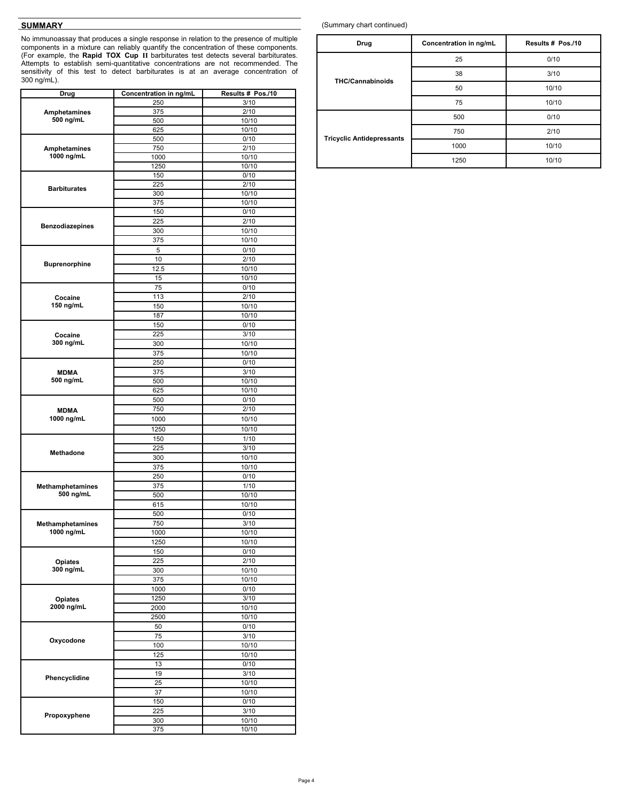# **SUMMARY**

No immunoassay that produces a single response in relation to the presence of multiple components in a mixture can reliably quantify the concentration of these components. (For example, the **Rapid TOX Cup II** barbiturates test detects several barbiturates. Attempts to establish semi-quantitative concentrations are not recommended. The sensitivity of this test to detect barbiturates is at an average concentration of 300 ng/mL).

| Drug                       | Concentration in ng/mL | Results # Pos./10 |
|----------------------------|------------------------|-------------------|
|                            | 250                    | 3/10              |
| Amphetamines               | 375                    | 2/10              |
| 500 ng/mL                  | 500                    | 10/10             |
|                            | 625                    | 10/10             |
|                            | 500                    | 0/10              |
| Amphetamines<br>1000 ng/mL | 750                    | 2/10              |
|                            | 1000<br>1250           | 10/10<br>10/10    |
|                            | 150                    | 0/10              |
|                            | 225                    | 2/10              |
| <b>Barbiturates</b>        | 300                    | 10/10             |
|                            | 375                    | 10/10             |
|                            | 150                    | 0/10              |
|                            | 225                    | 2/10              |
| <b>Benzodiazepines</b>     | 300                    | 10/10             |
|                            | 375                    | 10/10             |
|                            | 5                      | 0/10              |
|                            | 10                     | 2/10              |
| <b>Buprenorphine</b>       | 12.5                   | 10/10             |
|                            | 15                     | 10/10             |
|                            | 75                     | 0/10              |
| Cocaine                    | 113                    | 2/10              |
| 150 ng/mL                  | 150                    | 10/10             |
|                            | 187                    | 10/10             |
|                            | 150                    | 0/10              |
| Cocaine                    | 225                    | 3/10              |
| 300 ng/mL                  | 300                    | 10/10             |
|                            | 375                    | 10/10             |
|                            | 250                    | 0/10              |
| MDMA                       | 375                    | 3/10              |
| 500 ng/mL                  | 500                    | 10/10             |
|                            | 625                    | 10/10             |
|                            | 500                    | 0/10              |
| <b>MDMA</b>                | 750                    | 2/10              |
| 1000 ng/mL                 | 1000                   | 10/10             |
|                            | 1250                   | 10/10             |
|                            | 150                    | 1/10              |
|                            | 225                    | 3/10              |
| Methadone                  | 300                    | 10/10             |
|                            | 375                    | 10/10             |
|                            | 250                    | 0/10              |
| Methamphetamines           | 375                    | 1/10              |
| 500 ng/mL                  | 500                    | 10/10             |
|                            | 615                    | 10/10             |
|                            | 500                    | 0/10              |
| Methamphetamines           | 750                    | 3/10              |
| 1000 ng/mL                 | 1000                   | 10/10             |
|                            | 1250                   | 10/10             |
|                            | 150                    | 0/10              |
| <b>Opiates</b>             | 225                    | 2/10              |
| 300 ng/mL                  | 300                    | 10/10             |
|                            | 375                    | 10/10             |
|                            | 1000                   | 0/10              |
| Opiates                    | 1250                   | 3/10              |
| 2000 ng/mL                 | 2000                   | 10/10             |
|                            | 2500                   | 10/10             |
|                            | 50                     | 0/10              |
|                            | 75                     | 3/10              |
| Oxycodone                  | 100                    | 10/10             |
|                            | 125                    | 10/10             |
|                            | 13                     | 0/10              |
|                            | 19                     | 3/10              |
| Phencyclidine              | 25                     | 10/10             |
|                            | 37                     | 10/10             |
|                            | 150                    | 0/10              |
|                            | 225                    | 3/10              |
| Propoxyphene               | 300                    | 10/10             |
|                            | 375                    | 10/10             |

(Summary chart continued)

| Drug                             | Concentration in ng/mL | Results # Pos./10 |
|----------------------------------|------------------------|-------------------|
|                                  | 25                     | 0/10              |
| <b>THC/Cannabinoids</b>          | 38                     | 3/10              |
|                                  | 50                     | 10/10             |
|                                  | 75                     | 10/10             |
|                                  | 500                    | 0/10              |
|                                  | 750                    | 2/10              |
| <b>Tricyclic Antidepressants</b> | 1000                   | 10/10             |
|                                  | 1250                   | 10/10             |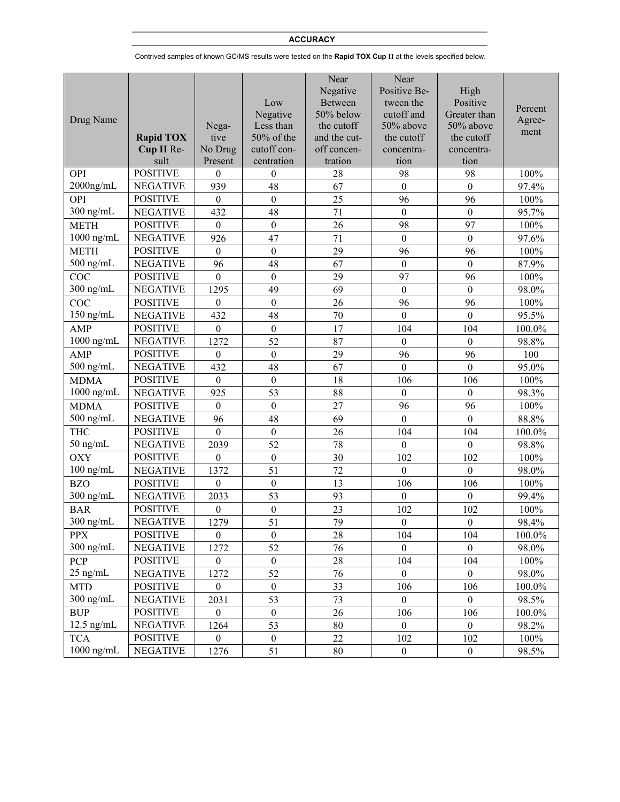# **ACCURACY**

Contrived samples of known GC/MS results were tested on the **Rapid TOX Cup II** at the levels specified below.

|              |                  |                  |                  | Near           | Near             |                  |         |
|--------------|------------------|------------------|------------------|----------------|------------------|------------------|---------|
|              |                  |                  |                  | Negative       | Positive Be-     | High             |         |
|              |                  |                  | Low              | <b>Between</b> | tween the        | Positive         |         |
|              |                  |                  | Negative         | 50% below      | cutoff and       | Greater than     | Percent |
| Drug Name    |                  | Nega-            | Less than        | the cutoff     | 50% above        | 50% above        | Agree-  |
|              | <b>Rapid TOX</b> | tive             | 50% of the       | and the cut-   | the cutoff       | the cutoff       | ment    |
|              | Cup II Re-       | No Drug          | cutoff con-      | off concen-    | concentra-       | concentra-       |         |
|              | sult             | Present          | centration       | tration        | tion             | tion             |         |
| OPI          | <b>POSITIVE</b>  | $\boldsymbol{0}$ | $\theta$         | 28             | 98               | 98               | 100%    |
| $2000$ ng/mL | <b>NEGATIVE</b>  | 939              | 48               | 67             | $\boldsymbol{0}$ | $\boldsymbol{0}$ | 97.4%   |
| OPI          | <b>POSITIVE</b>  | $\boldsymbol{0}$ | $\boldsymbol{0}$ | 25             | 96               | 96               | 100%    |
| $300$ ng/mL  | <b>NEGATIVE</b>  | 432              | 48               | 71             | $\boldsymbol{0}$ | $\boldsymbol{0}$ | 95.7%   |
| <b>METH</b>  | <b>POSITIVE</b>  | $\mathbf{0}$     | $\boldsymbol{0}$ | 26             | 98               | 97               | 100%    |
| $1000$ ng/mL | <b>NEGATIVE</b>  | 926              | 47               | 71             | $\boldsymbol{0}$ | $\boldsymbol{0}$ | 97.6%   |
| <b>METH</b>  | <b>POSITIVE</b>  | $\boldsymbol{0}$ | $\boldsymbol{0}$ | 29             | 96               | 96               | 100%    |
| $500$ ng/mL  | <b>NEGATIVE</b>  | 96               | 48               | 67             | $\boldsymbol{0}$ | $\boldsymbol{0}$ | 87.9%   |
| COC          | <b>POSITIVE</b>  | $\mathbf{0}$     | $\boldsymbol{0}$ | 29             | 97               | 96               | 100%    |
| $300$ ng/mL  | <b>NEGATIVE</b>  | 1295             | 49               | 69             | $\boldsymbol{0}$ | $\boldsymbol{0}$ | 98.0%   |
| COC          | <b>POSITIVE</b>  | $\boldsymbol{0}$ | $\boldsymbol{0}$ | 26             | 96               | 96               | 100%    |
| $150$ ng/mL  | <b>NEGATIVE</b>  | 432              | 48               | 70             | $\boldsymbol{0}$ | $\boldsymbol{0}$ | 95.5%   |
| <b>AMP</b>   | <b>POSITIVE</b>  | $\mathbf{0}$     | $\boldsymbol{0}$ | 17             | 104              | 104              | 100.0%  |
| $1000$ ng/mL | <b>NEGATIVE</b>  | 1272             | 52               | 87             | $\boldsymbol{0}$ | $\boldsymbol{0}$ | 98.8%   |
| <b>AMP</b>   | <b>POSITIVE</b>  | $\mathbf{0}$     | $\boldsymbol{0}$ | 29             | 96               | 96               | 100     |
| $500$ ng/mL  | <b>NEGATIVE</b>  | 432              | 48               | 67             | $\boldsymbol{0}$ | $\boldsymbol{0}$ | 95.0%   |
| <b>MDMA</b>  | <b>POSITIVE</b>  | $\mathbf{0}$     | $\boldsymbol{0}$ | 18             | 106              | 106              | 100%    |
| $1000$ ng/mL | <b>NEGATIVE</b>  | 925              | 53               | 88             | $\boldsymbol{0}$ | $\boldsymbol{0}$ | 98.3%   |
| <b>MDMA</b>  | <b>POSITIVE</b>  | $\boldsymbol{0}$ | $\boldsymbol{0}$ | 27             | 96               | 96               | 100%    |
| $500$ ng/mL  | <b>NEGATIVE</b>  | 96               | 48               | 69             | $\boldsymbol{0}$ | $\boldsymbol{0}$ | 88.8%   |
| <b>THC</b>   | <b>POSITIVE</b>  | $\overline{0}$   | $\boldsymbol{0}$ | 26             | 104              | 104              | 100.0%  |
| $50$ ng/mL   | <b>NEGATIVE</b>  | 2039             | 52               | 78             | $\boldsymbol{0}$ | $\overline{0}$   | 98.8%   |
| <b>OXY</b>   | <b>POSITIVE</b>  | $\boldsymbol{0}$ | $\boldsymbol{0}$ | 30             | 102              | 102              | 100%    |
| $100$ ng/mL  | <b>NEGATIVE</b>  | 1372             | 51               | 72             | $\boldsymbol{0}$ | $\boldsymbol{0}$ | 98.0%   |
| <b>BZO</b>   | <b>POSITIVE</b>  | $\mathbf{0}$     | $\boldsymbol{0}$ | 13             | 106              | 106              | 100%    |
| $300$ ng/mL  | <b>NEGATIVE</b>  | 2033             | 53               | 93             | $\boldsymbol{0}$ | $\overline{0}$   | 99.4%   |
| <b>BAR</b>   | <b>POSITIVE</b>  | $\boldsymbol{0}$ | $\boldsymbol{0}$ | 23             | 102              | 102              | 100%    |
| $300$ ng/mL  | <b>NEGATIVE</b>  | 1279             | 51               | 79             | $\boldsymbol{0}$ | $\boldsymbol{0}$ | 98.4%   |
| <b>PPX</b>   | <b>POSITIVE</b>  | $\boldsymbol{0}$ | $\boldsymbol{0}$ | 28             | 104              | 104              | 100.0%  |
| $300$ ng/mL  | <b>NEGATIVE</b>  | 1272             | 52               | 76             | $\boldsymbol{0}$ | $\boldsymbol{0}$ | 98.0%   |
| PCP          | <b>POSITIVE</b>  | $\boldsymbol{0}$ | $\boldsymbol{0}$ | 28             | 104              | 104              | 100%    |
| $25$ ng/mL   | <b>NEGATIVE</b>  | 1272             | 52               | 76             | $\boldsymbol{0}$ | $\boldsymbol{0}$ | 98.0%   |
| <b>MTD</b>   | <b>POSITIVE</b>  | $\boldsymbol{0}$ | $\boldsymbol{0}$ | 33             | 106              | 106              | 100.0%  |
| $300$ ng/mL  | <b>NEGATIVE</b>  | 2031             | 53               | 73             | $\boldsymbol{0}$ | $\boldsymbol{0}$ | 98.5%   |
| <b>BUP</b>   | <b>POSITIVE</b>  | $\boldsymbol{0}$ | $\boldsymbol{0}$ | 26             | 106              | 106              | 100.0%  |
| $12.5$ ng/mL | <b>NEGATIVE</b>  | 1264             | 53               | 80             | $\boldsymbol{0}$ | $\boldsymbol{0}$ | 98.2%   |
| <b>TCA</b>   | <b>POSITIVE</b>  | $\boldsymbol{0}$ | $\boldsymbol{0}$ | 22             | 102              | 102              | 100%    |
| $1000$ ng/mL | <b>NEGATIVE</b>  | 1276             | 51               | 80             | $\boldsymbol{0}$ | $\boldsymbol{0}$ | 98.5%   |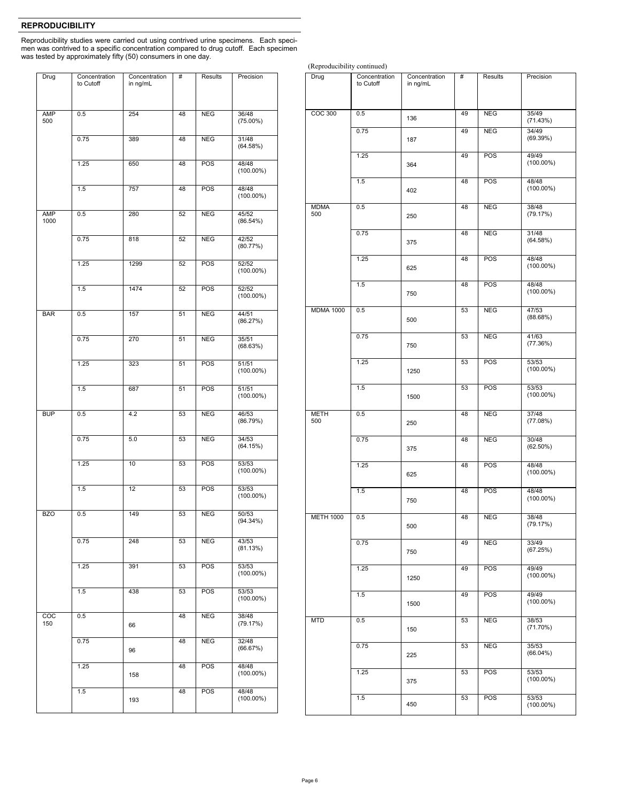# **REPRODUCIBILITY**

Reproducibility studies were carried out using contrived urine specimens. Each specimen was contrived to a specific concentration compared to drug cutoff. Each specimen was tested by approximately fifty (50) consumers in one day.

| Drug                    | Concentration<br>to Cutoff | Concentration | #  | <b>Results</b> | Precision             |
|-------------------------|----------------------------|---------------|----|----------------|-----------------------|
|                         |                            | in ng/mL      |    |                |                       |
| <b>AMP</b><br>500       | 0.5                        | 254           | 48 | <b>NEG</b>     | 36/48<br>$(75.00\%)$  |
|                         | 0.75                       | 389           | 48 | <b>NEG</b>     | 31/48<br>(64.58%)     |
|                         | 1.25                       | 650           | 48 | POS            | 48/48<br>$(100.00\%)$ |
|                         | 1.5                        | 757           | 48 | POS            | 48/48<br>$(100.00\%)$ |
| <b>AMP</b><br>1000      | 0.5                        | 280           | 52 | <b>NEG</b>     | 45/52<br>(86.54%)     |
|                         | 0.75                       | 818           | 52 | <b>NEG</b>     | 42/52<br>(80.77%)     |
|                         | 1.25                       | 1299          | 52 | POS            | 52/52<br>$(100.00\%)$ |
|                         | 1.5                        | 1474          | 52 | POS            | 52/52<br>$(100.00\%)$ |
| <b>BAR</b>              | 0.5                        | 157           | 51 | <b>NEG</b>     | 44/51<br>(86.27%)     |
|                         | 0.75                       | 270           | 51 | <b>NEG</b>     | 35/51<br>(68.63%)     |
|                         | 1.25                       | 323           | 51 | POS            | 51/51<br>$(100.00\%)$ |
|                         | 1.5                        | 687           | 51 | POS            | 51/51<br>$(100.00\%)$ |
| <b>BUP</b>              | 0.5                        | 4.2           | 53 | <b>NEG</b>     | 46/53<br>(86.79%)     |
|                         | 0.75                       | 5.0           | 53 | <b>NEG</b>     | 34/53<br>(64.15%)     |
|                         | 1.25                       | 10            | 53 | POS            | 53/53<br>$(100.00\%)$ |
|                         | 1.5                        | 12            | 53 | <b>POS</b>     | 53/53<br>$(100.00\%)$ |
| <b>BZO</b>              | 0.5                        | 149           | 53 | <b>NEG</b>     | 50/53<br>$(94.34\%)$  |
|                         | 0.75                       | 248           | 53 | <b>NEG</b>     | 43/53<br>(81.13%)     |
|                         | 1.25                       | 391           | 53 | POS            | 53/53<br>$(100.00\%)$ |
|                         | 1.5                        | 438           | 53 | POS            | 53/53<br>$(100.00\%)$ |
| $\overline{COC}$<br>150 | 0.5                        | 66            | 48 | <b>NEG</b>     | 38/48<br>(79.17%)     |
|                         | 0.75                       | 96            | 48 | NEG            | 32/48<br>(66.67%)     |
|                         | 1.25                       | 158           | 48 | POS            | 48/48<br>$(100.00\%)$ |
|                         | 1.5                        | 193           | 48 | POS            | 48/48<br>$(100.00\%)$ |
|                         |                            |               |    |                |                       |

COC 300 0.5 136 49 NEG 35/49 (71.43%) 0.75 187 49 NEG 34/49 (69.39%) 1.25 364 49 POS 49/49  $(100.00\%)$ 1.5 402 48 POS 48/48 (100.00%) MDMA 500 0.5 250 48 NEG 38/48 (79.17%) 0.75 375 48 NEG 31/48 (64.58%) 1.25 625 48 POS 48/48 (100.00%) 1.5 750 48 POS 48/48  $(100.00\%)$ MDMA 1000 0.5 500 53 NEG 47/53  $(88.68%)$ 0.75 750 53 NEG 41/63 (77.36%) 1.25 1250 53 POS 53/53 (100.00%) 1.5 1500 53 POS 53/53 (100.00%) METH 500 0.5 250 48 NEG 37/48 (77.08%) 0.75 375 48 NEG 30/48  $(62.50%)$ 1.25 625 48 POS 48/48 (100.00%) 1.5 750 48 POS 48/48 (100.00%) METH 1000 0.5 500 48 NEG 38/48 (79.17%) 0.75 750 49 NEG 33/49 (67.25%) 1.25 1250 49 POS 49/49 (100.00%) 1.5 1500 49 POS 49/49 (100.00%) MTD 0.5 150 53 NEG 38/53 (71.70%) 0.75 225 53 NEG 35/53 (66.04%) 1.25 375 53 POS 53/53 (100.00%) 1.5 450 53 POS 53/53 (100.00%) Drug Concentration<br>
to Cutoff Concentration in ng/mL # Results Precision

(Reproducibility continued)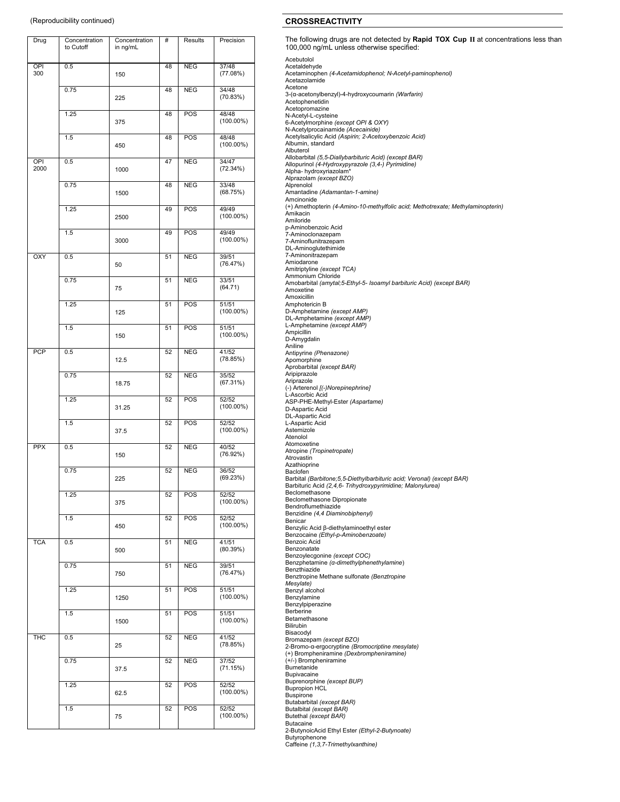| Drug        | Concentration<br>to Cutoff | Concentration<br>in ng/mL | #  | Results    | Precision             |
|-------------|----------------------------|---------------------------|----|------------|-----------------------|
| OPI<br>300  | 0.5                        | 150                       | 48 | NEG        | 37/48<br>(77.08%)     |
|             | 0.75                       | 225                       | 48 | <b>NEG</b> | 34/48<br>(70.83%)     |
|             | 1.25                       | 375                       | 48 | POS        | 48/48<br>$(100.00\%)$ |
|             | 1.5                        | 450                       | 48 | POS        | 48/48<br>$(100.00\%)$ |
| OPI<br>2000 | 0.5                        | 1000                      | 47 | <b>NEG</b> | 34/47<br>(72.34%)     |
|             | 0.75                       | 1500                      | 48 | <b>NEG</b> | 33/48<br>(68.75%)     |
|             | 1.25                       | 2500                      | 49 | <b>POS</b> | 49/49<br>$(100.00\%)$ |
|             | 1.5                        | 3000                      | 49 | POS        | 49/49<br>$(100.00\%)$ |
| OXY         | 0.5                        | 50                        | 51 | <b>NEG</b> | 39/51<br>(76.47%)     |
|             | 0.75                       | 75                        | 51 | <b>NEG</b> | 33/51<br>(64.71)      |
|             | 1.25                       | 125                       | 51 | POS        | 51/51<br>$(100.00\%)$ |
|             | 1.5                        | 150                       | 51 | POS        | 51/51<br>$(100.00\%)$ |
| <b>PCP</b>  | 0.5                        | 12.5                      | 52 | <b>NEG</b> | 41/52<br>(78.85%)     |
|             | 0.75                       | 18.75                     | 52 | <b>NEG</b> | 35/52<br>(67.31%)     |
|             | 1.25                       | 31.25                     | 52 | POS        | 52/52<br>$(100.00\%)$ |
|             | 1.5                        | 37.5                      | 52 | POS        | 52/52<br>$(100.00\%)$ |
| <b>PPX</b>  | 0.5                        | 150                       | 52 | <b>NEG</b> | 40/52<br>(76.92%)     |
|             | 0.75                       | 225                       | 52 | <b>NEG</b> | 36/52<br>(69.23%)     |
|             | 1.25                       | 375                       | 52 | POS        | 52/52<br>$(100.00\%)$ |
|             | 1.5                        | 450                       | 52 | POS        | 52/52<br>$(100.00\%)$ |
| TCA         | 0.5                        | 500                       | 51 | <b>NEG</b> | 41/51<br>(80.39%)     |
|             | 0.75                       | 750                       | 51 | <b>NEG</b> | 39/51<br>(76.47%)     |
|             | 1.25                       | 1250                      | 51 | POS        | 51/51<br>$(100.00\%)$ |
|             | 1.5                        | 1500                      | 51 | <b>POS</b> | 51/51<br>$(100.00\%)$ |
| тнс         | 0.5                        | 25                        | 52 | <b>NEG</b> | 41/52<br>(78.85%)     |
|             | 0.75                       | 37.5                      | 52 | <b>NEG</b> | 37/52<br>(71.15%)     |
|             | 1.25                       | 62.5                      | 52 | POS        | 52/52<br>$(100.00\%)$ |
|             | 1.5                        | 75                        | 52 | POS        | 52/52<br>$(100.00\%)$ |

# (Reproducibility continued) **CROSSREACTIVITY**

The following drugs are not detected by **Rapid TOX Cup II** at concentrations less than 100,000 ng/mL unless otherwise specified:

Acebutolol Acetaldehyde Acetaminophen *(4-Acetamidophenol; N-Acetyl-paminophenol)*  Acetazolamide Acetone 3-(α-acetonylbenzyl)-4-hydroxycoumarin *(Warfarin)*  Acetophenetidin Acetopromazine N-Acetyl-L-cysteine 6-Acetylmorphine *(except OPI & OXY)* N-Acetylprocainamide *(Acecainide)* Acetylsalicylic Acid *(Aspirin; 2-Acetoxybenzoic Acid)*  Albumin, standard Albuterol Allobarbital *(5,5-Diallybarbituric Acid) (except BAR)*  Allopurinol *(4-Hydroxypyrazole (3,4-) Pyrimidine)*  Alpha- hydroxyriazolam\* Alprazolam *(except BZO)* Alprenolol Amantadine *(Adamantan-1-amine)* Amcinonide (+) Amethopterin *(4-Amino-10-methylfolic acid; Methotrexate; Methylaminopterin)*  Amikacin Amiloride p-Aminobenzoic Acid 7-Aminoclonazepam 7-Aminoflunitrazepam DL-Aminoglutethimide 7-Aminonitrazepam Amiodarone Amitriptyline *(except TCA)*  Ammonium Chloride Amobarbital *(amytal;5-Ethyl-5- Isoamyl barbituric Acid) (except BAR)*  Amoxetine Amoxicillin Amphotericin B D-Amphetamine *(except AMP)* DL-Amphetamine *(except AMP)* L-Amphetamine *(except AMP)* **Ampicillin** D-Amygdalin Aniline Antipyrine *(Phenazone)* Apomorphine Aprobarbital *(except BAR)*  Aripiprazole Ariprazole (-) Arterenol *[(-)Norepinephrine]*  L-Ascorbic Acid ASP-PHE-Methyl-Ester *(Aspartame)* D-Aspartic Acid DL-Aspartic Acid L-Aspartic Acid Astemizole Atenolol Atomoxetine Atropine *(Tropinetropate)*  Atrovastin Azathioprine Baclofen Barbital *(Barbitone;5,5-Diethylbarbituric acid; Veronal) (except BAR)*  Barbituric Acid *(2,4,6- Trihydroxypyrimidine; Malonylurea)*  **Beclomethasone** Beclomethasone Dipropionate Bendroflumethiazide Benzidine *(4,4 Diaminobiphenyl)*  **Benicar** Benzylic Acid β-diethylaminoethyl ester Benzocaine *(Ethyl-p-Aminobenzoate)* Benzoic Acid Benzonatate Benzoylecgonine *(except COC)*  Benzphetamine *(α-dimethylphenethylamine*) **Benzthiazide** Benztropine Methane sulfonate *(Benztropine Mesylate)*  Benzyl alcohol Benzylamine Benzylpiperazine Berberine Betamethasone Bilirubin Bisacodyl Bromazepam *(except BZO)* 2-Bromo-α-ergocryptine *(Bromocriptine mesylate)*  (+) Brompheniramine *(Dexbrompheniramine)* (+/-) Brompheniramine Bumetanide Bupivacaine Buprenorphine *(except BUP)* Bupropion HCL **Buspirone** Butabarbital *(except BAR)* Butalbital *(except BAR)*  Butethal *(except BAR)*  Butacaine 2-ButynoicAcid Ethyl Ester *(Ethyl-2-Butynoate)* 

Butyrophenone Caffeine *(1,3,7-Trimethylxanthine)*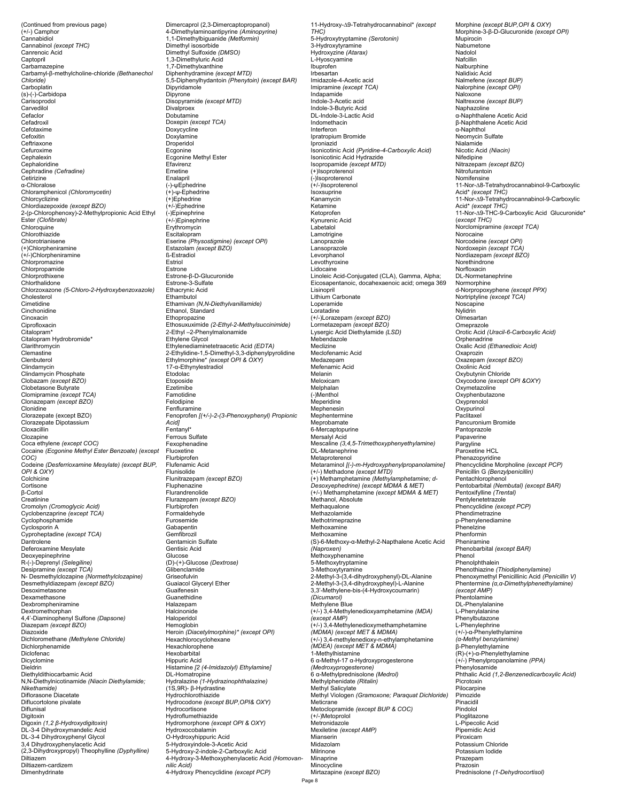(Continued from previous page) (+/-) Camphor Cannabidiol Cannabinol *(except THC)* Canrenoic Acid Captopril Carbamazepine Carbamyl-β-methylcholine-chloride *(Bethanechol Chloride)*  Carboplatin (s)-(-)-Carbidopa Carisoprodol Carvedilol Cefaclor Cefadroxil Cefotaxime **Cefoxitin** Ceftriaxone Cefuroxime Cephalexin Cephaloridine Cephradine *(Cefradine)*  **Cetirizine** α-Chloralose Chloramphenicol *(Chloromycetin)* Chlorcyclizine Chlordiazepoxide *(except BZO)* 2-(p-Chlorophenoxy)-2-Methylpropionic Acid Ethyl Ester *(Clofibrate)* Chloroquine Chlorothiazide Chlorotrianisene (+)Chlorpheniramine (+/-)Chlorpheniramine Chlorpromazine Chlorpropamide Chlorprothixene Chlorthalidone Chlorzoxazone *(5-Chloro-2-Hydroxybenzoxazole)* Cholesterol Cimetidine **Cinchonidine** Cinoxacin Ciprofloxacin Citalopram\* Citalopram Hydrobromide\* Clarithromycin Clemastine Clenbuterol Clindamycin Clindamycin Phosphate Clobazam *(except BZO)*  Clobetasone Butyrate Clomipramine *(except TCA)* Clonazepam *(except BZO)* Clonidine Clorazepate (except BZO) Clorazepate Dipotassium **Cloxacillin** Clozapine Coca ethylene *(except COC)*  Cocaine *(Ecgonine Methyl Ester Benzoate) (except COC)*  Codeine *(Desferrioxamine Mesylate) (except BUP, OPI & OXY)*  Colchicine Cortisone β-Cortol Creatinine Cromolyn *(Cromoglycic Acid)* Cyclobenzaprine *(except TCA)*  Cyclophosphamide Cyclosporin A Cyproheptadine *(except TCA)* Dantrolene Deferoxamine Mesylate Deoxyepinephrine R-(-)-Deprenyl *(Selegiline)*  Desipramine *(except TCA)* N- Desmethylclozapine *(Normethylclozapine)* Desmethyldiazepam *(except BZO)*  Desoximetasone Dexamethasone Dexbrompheniramine Dextromethorphan 4,4'-Diaminophenyl Sulfone *(Dapsone)* Diazepam *(except BZO)* Diazoxide Dichloromethane *(Methylene Chloride)* Dichlorphenamide Diclofenac Dicyclomine Dieldrin Diethyldithiocarbamic Acid N,N-Diethylnicotinamide *(Niacin Diethylamide; Nikethamide)*  Diflorasone Diacetate Diflucortolone pivalate Diflunisal Digitoxin Digoxin *(1,2 β-Hydroxydigitoxin)* DL-3-4 Dihydroxymandelic Acid DL-3-4 Dihydroxyphenyl Glycol 3,4 Dihydroxyphenylacetic Acid (2,3-Dihydroxypropyl) Theophylline *(Dyphylline)*  Diltiazem Diltiazem-cardizem Dimenhydrinate

Dimercaprol (2,3-Dimercaptopropanol) 4-Dimethylaminoantipyrine *(Aminopyrine)* 1,1-Dimethylbiguanide *(Metformin)*  Dimethyl isosorbide Dimethyl Sulfoxide *(DMSO)*  1,3-Dimethyluric Acid 1,7-Dimethylxanthine Diphenhydramine *(except MTD)*  5,5-Diphenylhydantoin *(Phenytoin) (except BAR)*  Dipyridamole Dipyrone Disopyramide *(except MTD)*  Divalproex Dobutamine Doxepin *(except TCA)* Doxycycline Doxylamine Droperidol **Ecgonine** Ecgonine Methyl Ester Efavirenz Emetine Enalapril (-)-ψEphedrine (+)-ψ-Ephedrine  $(+)$ Enhedrine (+/-)Ephedrine (-)Epinephrine (+/-)Epinephrine Erythromycin Escitalopram Eserine *(Physostigmine) (except OPI)*  Estazolam *(except BZO)*  ß-Estradiol Estriol Estrone Estrone-β-D-Glucuronide Estrone-3-Sulfate Ethacrynic Acid Ethambutol Ethamivan *(N,N-Diethylvanillamide)* Ethanol, Standard Ethopropazine Ethosuxuximide *(2-Ethyl-2-Methylsuccinimide)*  2-Ethyl –2-Phenylmalonamide Ethylene Glycol Ethylenediaminetetraacetic Acid *(EDTA)* 2-Ethylidine-1,5-Dimethyl-3,3-diphenylpyrolidine<br>Ethylmorphine\* *(except OPI & OXY)*<br>17-α-Ethynylestradiol Etodolac Etoposide **Ezetimibe** Famotidine Felodipine **Fenfluramine** Fenoprofen *[(+/-)-2-(3-Phenoxyphenyl) Propionic Acid]*  Fentanyl\* Ferrous Sulfate Fexophenadine Fluoxetine Flurbiprofen Flufenamic Acid Flunisolide Flunitrazepam *(except BZO)*  Fluphenazine Flurandrenolide Flurazepam *(except BZO)* Flurbiprofen Formaldehyde Furosemide **Gabapentin** Gemfibrozil Gentamicin Sulfate Gentisic Acid<br>Glucose Glucose (D)-(+)-Glucose *(Dextrose)*  Glibenclamide Griseofulvin Guaiacol Glyceryl Ether Guaifenesin Guanethidine Halazepam Halcinonide Haloperidol Hemoglobin Heroin *(Diacetylmorphine)\* (except OPI)*  Hexachlorocyclohexane Hexachlorophene Hexobarbital Hippuric Acid Histamine *[2 (4-Imidazolyl) Ethylamine]*  DL-Homatropine Hydralazine *(1-Hydrazinophthalazine)*  (1S,9R)- β-Hydrastine Hydrochlorothiazide Hydrocodone *(except BUP,OPI& OXY)* Hydrocortisone Hydroflumethiazide Hydromorphone *(except OPI & OXY)* Hydroxocobalamin O-Hydroxyhippuric Acid 5-Hydroxyindole-3-Acetic Acid 5-Hydroxy-2-indole-2-Carboxylic Acid 4-Hydroxy-3-Methoxyphenylacetic Acid *(Homovannilic Acid)*  4-Hydroxy Phencyclidine *(except PCP)* 

11-Hydroxy-∆9-Tetrahydrocannabinol\* *(except THC)*  5-Hydroxytryptamine *(Serotonin)*  3-Hydroxytyramine Hydroxyzine *(Atarax)* L-Hyoscyamine Ibuprofen Irbesartan Imidazole-4-Acetic acid Imipramine *(except TCA)*  Indapamide Indole-3-Acetic acid Indole-3-Butyric Acid DL-Indole-3-Lactic Acid Indomethacin Interferon Ipratropium Bromide Iproniazid Isonicotinic Acid *(Pyridine-4-Carboxylic Acid)* Isonicotinic Acid Hydrazide Isopropamide *(except MTD)* (+)Isoproterenol (-)Isoproterenol (+/-)Isoproterenol Isoxsuprine Kanamycin Ketamine Ketoprofen Kynurenic Acid ..<sub>y</sub>..........<br>Labetalol Lamotrigine Lanoprazole Lansoprazole Levorphanol Levothyroxine Lidocaine Linoleic Acid-Conjugated (CLA), Gamma, Alpha; Eicosapentanoic, docahexaenoic acid; omega 369 Lisinopril Lithium Carbonate Loperamide Loratadine (+/-)Lorazepam *(except BZO)* Lormetazepam *(except BZO)*  Lysergic Acid Diethylamide *(LSD)*  Mebendazole Meclizine Meclofenamic Acid Medazepam Mefenamic Acid Melanin Meloxicam Melphalan (-)Menthol Meperidine Mephenesin Mephentermine Meprobamate 6-Mercaptopurine Mersalyl Acid Mescaline *(3,4,5-Trimethoxyphenyethylamine)*  DL-Metanephrine Metaproterenol Metaraminol *[(-)-m-Hydroxyphenylpropanolamine]* (+/-) Methadone *(except MTD)*  (+) Methamphetamine *(Methylamphetamine; d-Desoxyephedrine) (except MDMA & MET)*  (+/-) Methamphetamine *(except MDMA & MET)* Methanol, Absolute Methaqualone Methazolamide Methotrimeprazine **Methoxamine** Methoxamine (S)-6-Methoxy-α-Methyl-2-Napthalene Acetic Acid *(Naproxen)*  Methoxyphenamine 5-Methoxytryptamine 3-Methoxytyramine 2-Methyl-3-(3,4-dihydroxyphenyl)-DL-Alanine 2-Methyl-3-(3,4-dihydroxypheyl)-L-Alanine 3,3'-Methylene-bis-(4-Hydroxycoumarin) *(Dicumarol)*  Methylene Blue (+/-) 3,4-Methylenedioxyamphetamine *(MDA) (except AMP)*  (+/-) 3,4-Methylenedioxymethamphetamine *(MDMA) (except MET & MDMA)*  (+/-) 3,4-methylenedioxy-n-ethylamphetamine *(MDEA) (except MET & MDMA)*  1-Methylhistamine 6 α-Methyl-17 α-Hydroxyprogesterone *(Medroxyprogesterone)*  6 α-Methylprednisolone *(Medrol)*  Methylphenidate *(Ritalin)*  Methyl Salicylate Methyl Viologen *(Gramoxone; Paraquat Dichloride)* Meticrane Metoclopramide *(except BUP & COC)*  (+/-)Metoprolol Metronidazole Mexiletine *(except AMP)*  Mianserin Midazolam Milrinone Minaprine Minocycline Mirtazapine *(except BZO)*

Morphine *(except BUP,OPI & OXY)*  Morphine-3-β-D-Glucuronide *(except OPI)*  Mupirocin Nabumetone Nadolol Nafcillin **Nalburphine** Nalidixic Acid Nalmefene *(except BUP)*  Nalorphine *(except OPI)*  Naloxone Naltrexone *(except BUP)*  Naphazoline α-Naphthalene Acetic Acid β-Naphthalene Acetic Acid α-Naphthol **Neomycin Sulfate** Nialamide Nicotic Acid *(Niacin)* Nifedipine Nitrazepam *(except BZO)* **Nitrofurantoin** Nomifensine 11-Nor-∆8-Tetrahydrocannabinol-9-Carboxylic Acid\* *(except THC)*  11-Nor-∆9-Tetrahydrocannabinol-9-Carboxylic Acid\* *(except THC)*  11-Nor-∆9-THC-9-Carboxylic Acid Glucuronide\* (*except THC)*  Norclomipramine *(except TCA)* Norocaine Norcodeine *(except OPI)* Nordoxepin *(except TCA)* Nordiazepam *(except BZO)* Norethindrone Norfloxacin DL-Normetanephrine Normorphine d-Norpropoxyphene *(except PPX)*  Nortriptyline *(except TCA)* Noscapine Nylidrin **Olmesartan** Omenrazole Orotic Acid *(Uracil-6-Carboxylic Acid)*  Orphenadrine Oxalic Acid *(Ethanedioic Acid)*  Oxaprozin Oxazepam *(except BZO)* Oxolinic Acid Oxybutynin Chloride Oxycodone *(except OPI &OXY)*  Oxymetazoline Oxyphenbutazone Oxyprenolol **Oxypurinol** Paclitaxel Pancuronium Bromide Pantoprazole Papaverine Pargyline Paroxetine HCL Phenazopyridine Phencyclidine Morpholine *(except PCP)*  Penicillin G *(Benzylpenicillin)* Pentachlorophenol Pentobarbital *(Nembutal) (except BAR)* Pentoxifylline *(Trental)*  Pentylenetetrazole Phencyclidine *(except PCP)*  Phendimetrazine p-Phenylenediamine Phenelzine Phenformin Pheniramine Phenobarbital *(except BAR)* Phenol Phenolphthalein Phenothiazine *(Thiodiphenylamine)*  Phenoxymethyl Penicillinic Acid *(Penicillin V)*  Phentermine *(α,α-Dimethylphenethylamine) (except AMP)*  Phentolamine DL-Phenylalanine L-Phenylalanine Phenylbutazone L-Phenylephrine (+/-)-α-Phenylethylamine *(α-Methyl benzylamine)* β-Phenylethylamine (R)-(+)-α-Phenylethylamine (+/-) Phenylpropanolamine *(PPA)*  Phenylosamide Phthalic Acid *(1,2-Benzenedicarboxylic Acid)*  Picrotoxin Pilocarpine Pimozide Pinacidil Pindolol Pioglitazone L-Pipecolic Acid Pipemidic Acid Piroxicam Potassium Chloride Potassium Iodide Prazepam Prazosin Prednisolone *(1-Dehydrocortisol)*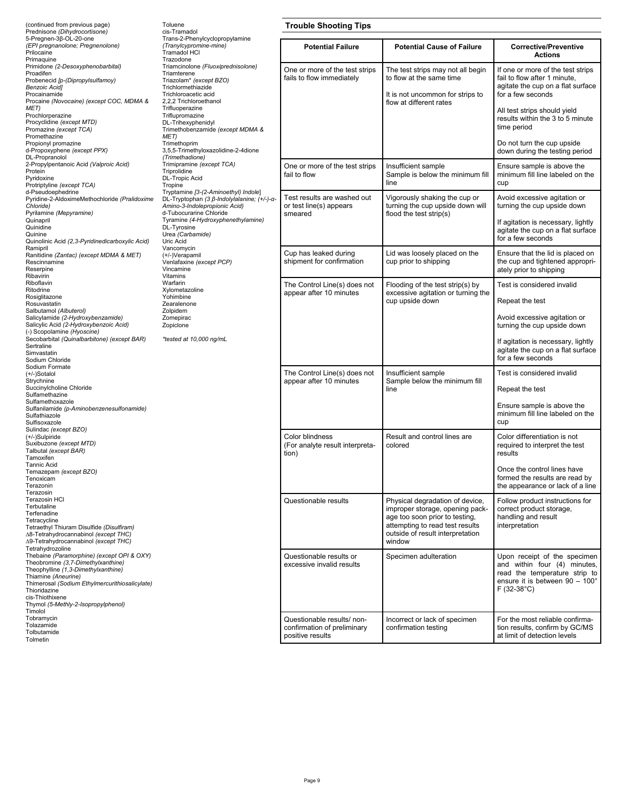| (continued from previous page)<br>Prednisone (Dihydrocortisone)                                                                                                                                                                                                                       | Toluene<br>cis-Tramadol<br>Trans-2-Phenylcyclopropylamine<br>(Tranylcypromine-mine)<br>Tramadol HCI<br>Trazodone<br>Triamcinolone (Fluoxiprednisolone)<br>Triamterene<br>Triazolam* (except BZO)<br>Trichlormethiazide<br>Trichloroacetic acid<br>2,2,2 Trichloroethanol<br>Trifluoperazine<br>Triflupromazine<br>DL-Trihexyphenidyl<br>Trimethobenzamide (except MDMA &<br>MET)<br>Trimethoprim<br>3,5,5-Trimethyloxazolidine-2-4dione<br>(Trimethadione)<br>Trimipramine (except TCA)<br>Triprolidine<br><b>DL-Tropic Acid</b><br>Tropine<br>Tryptamine [3-(2-Aminoethyl) Indole]<br>DL-Tryptophan (3 β-Indolylalanine; (+/-)-α-<br>Amino-3-Indolepropionic Acid)<br>d-Tubocurarine Chloride<br>Tyramine (4-Hydroxyphenethylamine)<br>DL-Tyrosine<br>Urea (Carbamide)<br>Uric Acid<br>Vancomycin<br>(+/-)Verapamil<br>Venlafaxine (except PCP)<br>Vincamine<br>Vitamins<br>Warfarin<br>Xylometazoline<br>Yohimbine<br>Zearalenone<br>Zolpidem<br>Zomepirac<br>Zopiclone<br>*tested at 10,000 ng/mL | <b>Trouble Shooting Tips</b>                                                  |                                                                                                                                                                                       |                                                                                                                                                                 |
|---------------------------------------------------------------------------------------------------------------------------------------------------------------------------------------------------------------------------------------------------------------------------------------|------------------------------------------------------------------------------------------------------------------------------------------------------------------------------------------------------------------------------------------------------------------------------------------------------------------------------------------------------------------------------------------------------------------------------------------------------------------------------------------------------------------------------------------------------------------------------------------------------------------------------------------------------------------------------------------------------------------------------------------------------------------------------------------------------------------------------------------------------------------------------------------------------------------------------------------------------------------------------------------------------|-------------------------------------------------------------------------------|---------------------------------------------------------------------------------------------------------------------------------------------------------------------------------------|-----------------------------------------------------------------------------------------------------------------------------------------------------------------|
| 5-Pregnen-3ß-OL-20-one<br>(EPI pregnanolone; Pregnenolone)<br>Prilocaine                                                                                                                                                                                                              |                                                                                                                                                                                                                                                                                                                                                                                                                                                                                                                                                                                                                                                                                                                                                                                                                                                                                                                                                                                                      | <b>Potential Failure</b>                                                      | <b>Potential Cause of Failure</b>                                                                                                                                                     | <b>Corrective/Preventive</b><br><b>Actions</b>                                                                                                                  |
| Primaquine<br>Primidone (2-Desoxyphenobarbital)<br>Proadifen<br>Probenecid [p-(Dipropylsulfamoy)<br><b>Benzoic Acid]</b><br>Procainamide<br>Procaine (Novocaine) (except COC, MDMA &<br>MET)                                                                                          |                                                                                                                                                                                                                                                                                                                                                                                                                                                                                                                                                                                                                                                                                                                                                                                                                                                                                                                                                                                                      | One or more of the test strips<br>fails to flow immediately                   | The test strips may not all begin<br>to flow at the same time<br>It is not uncommon for strips to<br>flow at different rates                                                          | If one or more of the test strips<br>fail to flow after 1 minute,<br>agitate the cup on a flat surface<br>for a few seconds<br>All test strips should yield     |
| Prochlorperazine<br>Procyclidine (except MTD)<br>Promazine (except TCA)<br>Promethazine<br>Propionyl promazine                                                                                                                                                                        |                                                                                                                                                                                                                                                                                                                                                                                                                                                                                                                                                                                                                                                                                                                                                                                                                                                                                                                                                                                                      |                                                                               |                                                                                                                                                                                       | results within the 3 to 5 minute<br>time period<br>Do not turn the cup upside                                                                                   |
| d-Propoxyphene (except PPX)<br>DL-Propranolol<br>2-Propylpentanoic Acid (Valproic Acid)                                                                                                                                                                                               |                                                                                                                                                                                                                                                                                                                                                                                                                                                                                                                                                                                                                                                                                                                                                                                                                                                                                                                                                                                                      |                                                                               |                                                                                                                                                                                       | down during the testing period                                                                                                                                  |
| Protein<br>Pyridoxine<br>Protriptyline (except TCA)<br>d-Pseudoephedrine                                                                                                                                                                                                              |                                                                                                                                                                                                                                                                                                                                                                                                                                                                                                                                                                                                                                                                                                                                                                                                                                                                                                                                                                                                      | One or more of the test strips<br>fail to flow                                | Insufficient sample<br>Sample is below the minimum fill<br>line                                                                                                                       | Ensure sample is above the<br>minimum fill line labeled on the<br>cup                                                                                           |
| Pyridine-2-AldoximeMethochloride (Pralidoxime<br>Chloride)<br>Pyrilamine (Mepyramine)                                                                                                                                                                                                 |                                                                                                                                                                                                                                                                                                                                                                                                                                                                                                                                                                                                                                                                                                                                                                                                                                                                                                                                                                                                      | Test results are washed out<br>or test line(s) appears<br>smeared             | Vigorously shaking the cup or<br>turning the cup upside down will<br>flood the test strip(s)                                                                                          | Avoid excessive agitation or<br>turning the cup upside down                                                                                                     |
| Quinapril<br>Quinidine<br>Quinine<br>Quinolinic Acid (2,3-Pyridinedicarboxylic Acid)                                                                                                                                                                                                  |                                                                                                                                                                                                                                                                                                                                                                                                                                                                                                                                                                                                                                                                                                                                                                                                                                                                                                                                                                                                      |                                                                               |                                                                                                                                                                                       | If agitation is necessary, lightly<br>agitate the cup on a flat surface<br>for a few seconds                                                                    |
| Ramipril<br>Ranitidine (Zantac) (except MDMA & MET)<br>Rescinnamine<br>Reserpine<br>Ribavirin                                                                                                                                                                                         |                                                                                                                                                                                                                                                                                                                                                                                                                                                                                                                                                                                                                                                                                                                                                                                                                                                                                                                                                                                                      | Cup has leaked during<br>shipment for confirmation                            | Lid was loosely placed on the<br>cup prior to shipping                                                                                                                                | Ensure that the lid is placed on<br>the cup and tightened appropri-<br>ately prior to shipping                                                                  |
| Riboflavin<br>Ritodrine                                                                                                                                                                                                                                                               |                                                                                                                                                                                                                                                                                                                                                                                                                                                                                                                                                                                                                                                                                                                                                                                                                                                                                                                                                                                                      | The Control Line(s) does not<br>appear after 10 minutes                       | Flooding of the test strip(s) by<br>excessive agitation or turning the<br>cup upside down                                                                                             | Test is considered invalid                                                                                                                                      |
| Rosiglitazone<br>Rosuvastatin                                                                                                                                                                                                                                                         |                                                                                                                                                                                                                                                                                                                                                                                                                                                                                                                                                                                                                                                                                                                                                                                                                                                                                                                                                                                                      |                                                                               |                                                                                                                                                                                       | Repeat the test                                                                                                                                                 |
| Salbutamol (Albuterol)<br>Salicylamide (2-Hydroxybenzamide)<br>Salicylic Acid (2-Hydroxybenzoic Acid)<br>(-) Scopolamine (Hyoscine)                                                                                                                                                   |                                                                                                                                                                                                                                                                                                                                                                                                                                                                                                                                                                                                                                                                                                                                                                                                                                                                                                                                                                                                      |                                                                               |                                                                                                                                                                                       | Avoid excessive agitation or<br>turning the cup upside down                                                                                                     |
| Secobarbital (Quinalbarbitone) (except BAR)<br>Sertraline<br>Simvastatin<br>Sodium Chloride                                                                                                                                                                                           |                                                                                                                                                                                                                                                                                                                                                                                                                                                                                                                                                                                                                                                                                                                                                                                                                                                                                                                                                                                                      |                                                                               |                                                                                                                                                                                       | If agitation is necessary, lightly<br>agitate the cup on a flat surface<br>for a few seconds                                                                    |
| Sodium Formate<br>(+/-)Sotalol<br>Strychnine                                                                                                                                                                                                                                          |                                                                                                                                                                                                                                                                                                                                                                                                                                                                                                                                                                                                                                                                                                                                                                                                                                                                                                                                                                                                      | The Control Line(s) does not<br>appear after 10 minutes                       | Insufficient sample<br>Sample below the minimum fill                                                                                                                                  | Test is considered invalid                                                                                                                                      |
| Succinylcholine Chloride<br>Sulfamethazine                                                                                                                                                                                                                                            |                                                                                                                                                                                                                                                                                                                                                                                                                                                                                                                                                                                                                                                                                                                                                                                                                                                                                                                                                                                                      |                                                                               | line                                                                                                                                                                                  | Repeat the test                                                                                                                                                 |
| Sulfamethoxazole<br>Sulfanilamide (p-Aminobenzenesulfonamide)<br>Sulfathiazole<br>Sulfisoxazole<br>Sulindac (except BZO)                                                                                                                                                              |                                                                                                                                                                                                                                                                                                                                                                                                                                                                                                                                                                                                                                                                                                                                                                                                                                                                                                                                                                                                      |                                                                               |                                                                                                                                                                                       | Ensure sample is above the<br>minimum fill line labeled on the<br>cup                                                                                           |
| (+/-)Sulpiride<br>Suxibuzone (except MTD)<br>Talbutal (except BAR)<br>Tamoxifen                                                                                                                                                                                                       |                                                                                                                                                                                                                                                                                                                                                                                                                                                                                                                                                                                                                                                                                                                                                                                                                                                                                                                                                                                                      | Color blindness<br>(For analyte result interpreta-<br>tion)                   | Result and control lines are<br>colored                                                                                                                                               | Color differentiation is not<br>required to interpret the test<br>results                                                                                       |
| <b>Tannic Acid</b><br>Temazepam (except BZO)<br>Tenoxicam<br>Terazonin                                                                                                                                                                                                                |                                                                                                                                                                                                                                                                                                                                                                                                                                                                                                                                                                                                                                                                                                                                                                                                                                                                                                                                                                                                      |                                                                               |                                                                                                                                                                                       | Once the control lines have<br>formed the results are read by<br>the appearance or lack of a line                                                               |
| Terazosin<br>Terazosin HCI<br>Terbutaline<br>Terfenadine<br>Tetracycline<br>Tetraethyl Thiuram Disulfide (Disulfiram)<br>∆8-Tetrahydrocannabinol (except THC)<br>∆9-Tetrahydrocannabinol (except THC)<br>Tetrahydrozoline                                                             |                                                                                                                                                                                                                                                                                                                                                                                                                                                                                                                                                                                                                                                                                                                                                                                                                                                                                                                                                                                                      | Questionable results                                                          | Physical degradation of device,<br>improper storage, opening pack-<br>age too soon prior to testing,<br>attempting to read test results<br>outside of result interpretation<br>window | Follow product instructions for<br>correct product storage,<br>handling and result<br>interpretation                                                            |
| Thebaine (Paramorphine) (except OPI & OXY)<br>Theobromine (3,7-Dimethylxanthine)<br>Theophylline (1,3-Dimethylxanthine)<br>Thiamine (Aneurine)<br>Thimerosal (Sodium Ethylmercurithiosalicylate)<br>Thioridazine<br>cis-Thiothixene<br>Thymol (5-Methly-2-Isopropylphenol)<br>Timolol |                                                                                                                                                                                                                                                                                                                                                                                                                                                                                                                                                                                                                                                                                                                                                                                                                                                                                                                                                                                                      | Questionable results or<br>excessive invalid results                          | Specimen adulteration                                                                                                                                                                 | Upon receipt of the specimen<br>and within four (4) minutes,<br>read the temperature strip to<br>ensure it is between $90 - 100^{\circ}$<br>$F(32-38^{\circ}C)$ |
| Tobramycin<br>Tolazamide<br>Tolbutamide<br>Tolmetin                                                                                                                                                                                                                                   |                                                                                                                                                                                                                                                                                                                                                                                                                                                                                                                                                                                                                                                                                                                                                                                                                                                                                                                                                                                                      | Questionable results/ non-<br>confirmation of preliminary<br>positive results | Incorrect or lack of specimen<br>confirmation testing                                                                                                                                 | For the most reliable confirma-<br>tion results, confirm by GC/MS<br>at limit of detection levels                                                               |
|                                                                                                                                                                                                                                                                                       |                                                                                                                                                                                                                                                                                                                                                                                                                                                                                                                                                                                                                                                                                                                                                                                                                                                                                                                                                                                                      |                                                                               |                                                                                                                                                                                       |                                                                                                                                                                 |